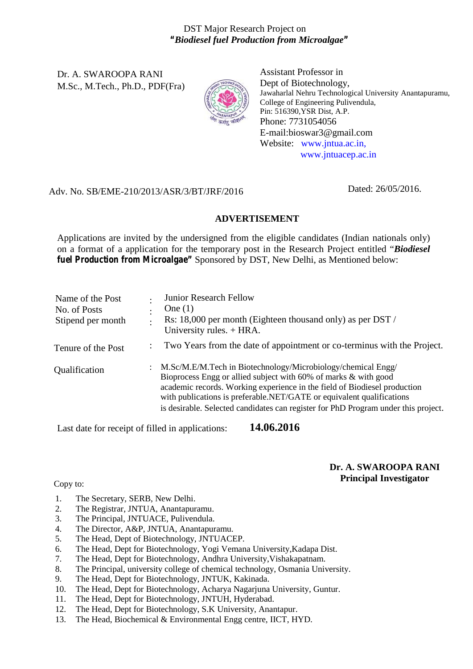## DST Major Research Project on *"Biodiesel fuel Production from Microalgae"*

Dr. A. SWAROOPA RANI M.Sc., M.Tech., Ph.D., PDF(Fra)



Assistant Professor in Dept of Biotechnology, Jawaharlal Nehru Technological University Anantapuramu, College of Engineering Pulivendula, Pin: 516390,YSR Dist, A.P. Phone: 7731054056 E-mail:bioswar3@gmail.com Website: www.jntua.ac.in, www.jntuacep.ac.in

### Adv. No. SB/EME-210/2013/ASR/3/BT/JRF/2016

Dated: 26/05/2016.

### **ADVERTISEMENT**

Applications are invited by the undersigned from the eligible candidates (Indian nationals only) on a format of a application for the temporary post in the Research Project entitled "*Biodiesel fuel Production from Microalgae"* Sponsored by DST, New Delhi, as Mentioned below:

| Name of the Post<br>No. of Posts<br>Stipend per month | $\bullet$ | <b>Junior Research Fellow</b><br>One $(1)$<br>Rs: 18,000 per month (Eighteen thousand only) as per DST /<br>University rules. $+ HRA$ .                                                                                                                                                                                                                                       |
|-------------------------------------------------------|-----------|-------------------------------------------------------------------------------------------------------------------------------------------------------------------------------------------------------------------------------------------------------------------------------------------------------------------------------------------------------------------------------|
| Tenure of the Post                                    |           | Two Years from the date of appointment or co-terminus with the Project.                                                                                                                                                                                                                                                                                                       |
| Qualification                                         |           | : M.Sc/M.E/M.Tech in Biotechnology/Microbiology/chemical Engg/<br>Bioprocess Engg or allied subject with 60% of marks & with good<br>academic records. Working experience in the field of Biodiesel production<br>with publications is preferable.NET/GATE or equivalent qualifications<br>is desirable. Selected candidates can register for PhD Program under this project. |

Last date for receipt of filled in applications: **14.06.2016**

# **Dr. A. SWAROOPA RANI Principal Investigator Principal Investigator**

- 1. The Secretary, SERB, New Delhi.
- 2. The Registrar, JNTUA, Anantapuramu.
- 3. The Principal, JNTUACE, Pulivendula.
- 4. The Director, A&P, JNTUA, Anantapuramu.
- 5. The Head, Dept of Biotechnology, JNTUACEP.
- 6. The Head, Dept for Biotechnology, Yogi Vemana University,Kadapa Dist.
- 7. The Head, Dept for Biotechnology, Andhra University,Vishakapatnam.
- 8. The Principal, university college of chemical technology, Osmania University.
- 9. The Head, Dept for Biotechnology, JNTUK, Kakinada.
- 10. The Head, Dept for Biotechnology, Acharya Nagarjuna University, Guntur.
- 11. The Head, Dept for Biotechnology, JNTUH, Hyderabad.
- 12. The Head, Dept for Biotechnology, S.K University, Anantapur.
- 13. The Head, Biochemical & Environmental Engg centre, IICT, HYD.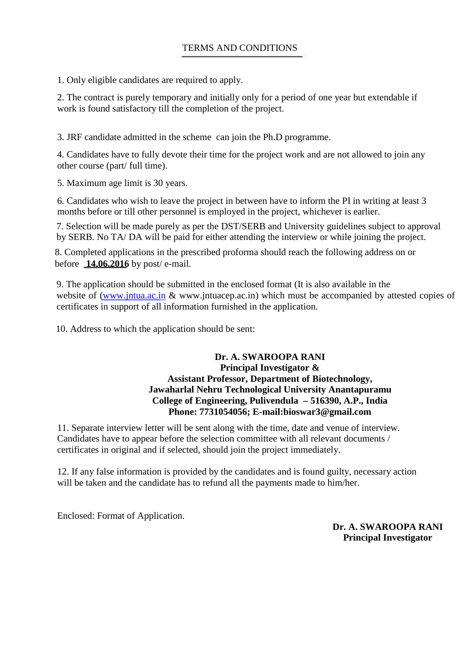1. Only eligible candidates are required to apply.

2. The contract is purely temporary and initially only for a period of one year but extendable if work is found satisfactory till the completion of the project.

3. JRF candidate admitted in the scheme can join the Ph.D programme.

4. Candidates have to fully devote their time for the project work and are not allowed to join any other course (part/ full time).

5. Maximum age limit is 30 years.

6. Candidates who wish to leave the project in between have to inform the PI in writing at least 3 months before or till other personnel is employed in the project, whichever is earlier.

7. Selection will be made purely as per the DST/SERB and University guidelines subject to approval by SERB. No TA/ DA will be paid for either attending the interview or while joining the project.

8. Completed applications in the prescribed proforma should reach the following address on or before **14.06.2016** by post/ e-mail.

9. The application should be submitted in the enclosed format (It is also available in the website of (www.jntua.ac.in & www.jntuacep.ac.in) which must be accompanied by attested copies of certificates in support of all information furnished in the application.

10. Address to which the application should be sent:

#### **Dr. A. SWAROOPA RANI Principal Investigator & Assistant Professor, Department of Biotechnology, Jawaharlal Nehru Technological University Anantapuramu College of Engineering, Pulivendula – 516390, A.P., India Phone: 7731054056; E-mail:bioswar3@gmail.com**

11. Separate interview letter will be sent along with the time, date and venue of interview. Candidates have to appear before the selection committee with all relevant documents / certificates in original and if selected, should join the project immediately.

12. If any false information is provided by the candidates and is found guilty, necessary action will be taken and the candidate has to refund all the payments made to him/her.

Enclosed: Format of Application.

**Dr. A. SWAROOPA RANI Principal Investigator**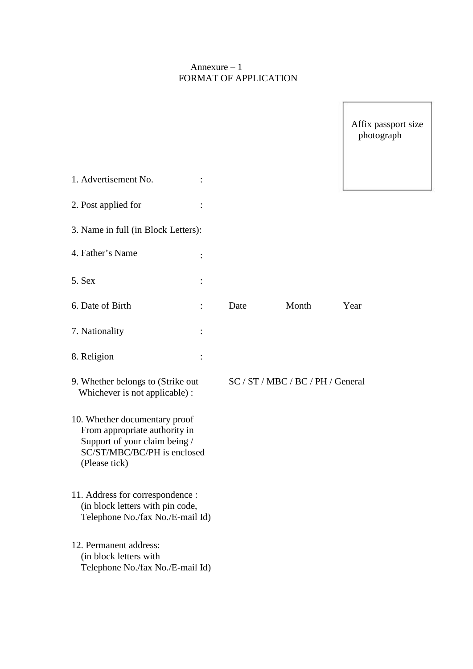## Annexure – 1 FORMAT OF APPLICATION

|                                                                                                                                                 |      |                                   | Affix passport size<br>photograph |
|-------------------------------------------------------------------------------------------------------------------------------------------------|------|-----------------------------------|-----------------------------------|
| 1. Advertisement No.                                                                                                                            |      |                                   |                                   |
| 2. Post applied for                                                                                                                             |      |                                   |                                   |
| 3. Name in full (in Block Letters):                                                                                                             |      |                                   |                                   |
| 4. Father's Name                                                                                                                                |      |                                   |                                   |
| 5. Sex                                                                                                                                          |      |                                   |                                   |
| 6. Date of Birth                                                                                                                                | Date | Month                             | Year                              |
| 7. Nationality                                                                                                                                  |      |                                   |                                   |
| 8. Religion                                                                                                                                     |      |                                   |                                   |
| 9. Whether belongs to (Strike out<br>Whichever is not applicable) :                                                                             |      | SC / ST / MBC / BC / PH / General |                                   |
| 10. Whether documentary proof<br>From appropriate authority in<br>Support of your claim being /<br>SC/ST/MBC/BC/PH is enclosed<br>(Please tick) |      |                                   |                                   |
| 11. Address for correspondence :<br>(in block letters with pin code,<br>Telephone No./fax No./E-mail Id)                                        |      |                                   |                                   |
| 12. Permanent address:<br>(in block letters with<br>Telephone No./fax No./E-mail Id)                                                            |      |                                   |                                   |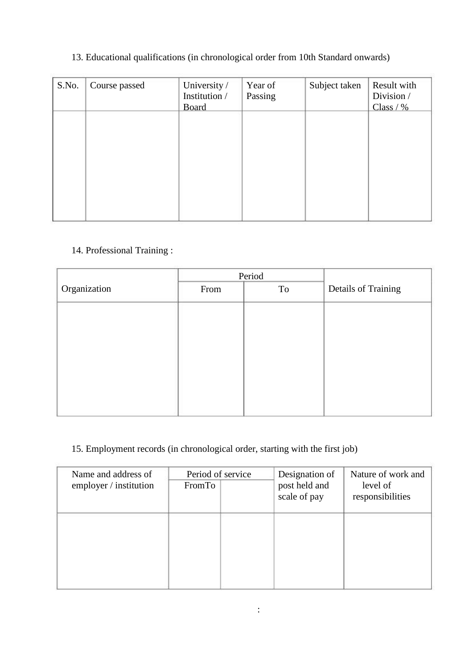# 13. Educational qualifications (in chronological order from 10th Standard onwards)

| S.No. | Course passed | University /<br>Institution /<br><b>Board</b> | Year of<br>Passing | Subject taken | Result with<br>Division /<br>Class / $\%$ |  |
|-------|---------------|-----------------------------------------------|--------------------|---------------|-------------------------------------------|--|
|       |               |                                               |                    |               |                                           |  |
|       |               |                                               |                    |               |                                           |  |
|       |               |                                               |                    |               |                                           |  |

# 14. Professional Training :

| From | To | Details of Training |
|------|----|---------------------|
|      |    |                     |
|      |    |                     |
|      |    |                     |
|      |    |                     |
|      |    |                     |
|      |    |                     |
|      |    |                     |
|      |    |                     |
|      |    | Period              |

# 15. Employment records (in chronological order, starting with the first job)

| Name and address of<br>employer / institution | Period of service<br>FromTo | Designation of<br>post held and<br>scale of pay | Nature of work and<br>level of<br>responsibilities |
|-----------------------------------------------|-----------------------------|-------------------------------------------------|----------------------------------------------------|
|                                               |                             |                                                 |                                                    |
|                                               |                             |                                                 |                                                    |